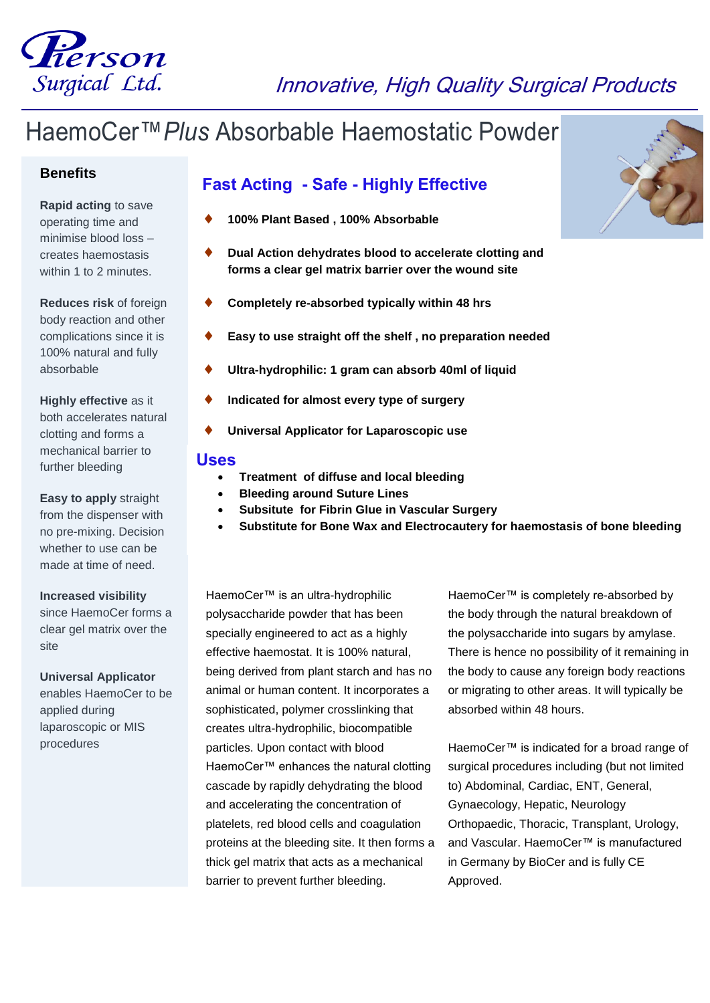

# Innovative, High Quality Surgical Products

# HaemoCer™*Plus* Absorbable Haemostatic Powder

### **Benefits**

**Rapid acting** to save operating time and minimise blood loss – creates haemostasis within 1 to 2 minutes

**Reduces risk** of foreign body reaction and other complications since it is 100% natural and fully absorbable

**Highly effective** as it both accelerates natural clotting and forms a mechanical barrier to further bleeding

## **Easy to apply** straight

from the dispenser with no pre-mixing. Decision whether to use can be made at time of need.

#### **Increased visibility**

since HaemoCer forms a clear gel matrix over the site

## **Universal Applicator**

enables HaemoCer to be applied during laparoscopic or MIS procedures

# **Fast Acting - Safe - Highly Effective**

- **100% Plant Based , 100% Absorbable**
- **Dual Action dehydrates blood to accelerate clotting and forms a clear gel matrix barrier over the wound site**
- **Completely re-absorbed typically within 48 hrs**
- **Easy to use straight off the shelf , no preparation needed**
- **Ultra-hydrophilic: 1 gram can absorb 40ml of liquid**
- **Indicated for almost every type of surgery**
- **Universal Applicator for Laparoscopic use**

### **Uses**

- **Treatment of diffuse and local bleeding**
	- **Bleeding around Suture Lines**
- **Subsitute for Fibrin Glue in Vascular Surgery**
- **Substitute for Bone Wax and Electrocautery for haemostasis of bone bleeding**

HaemoCer™ is an ultra-hydrophilic polysaccharide powder that has been specially engineered to act as a highly effective haemostat. It is 100% natural, being derived from plant starch and has no animal or human content. It incorporates a sophisticated, polymer crosslinking that creates ultra-hydrophilic, biocompatible particles. Upon contact with blood HaemoCer™ enhances the natural clotting cascade by rapidly dehydrating the blood and accelerating the concentration of platelets, red blood cells and coagulation proteins at the bleeding site. It then forms a thick gel matrix that acts as a mechanical barrier to prevent further bleeding.

HaemoCer™ is completely re-absorbed by the body through the natural breakdown of the polysaccharide into sugars by amylase. There is hence no possibility of it remaining in the body to cause any foreign body reactions or migrating to other areas. It will typically be absorbed within 48 hours.

HaemoCer™ is indicated for a broad range of surgical procedures including (but not limited to) Abdominal, Cardiac, ENT, General, Gynaecology, Hepatic, Neurology Orthopaedic, Thoracic, Transplant, Urology, and Vascular. HaemoCer™ is manufactured in Germany by BioCer and is fully CE Approved.